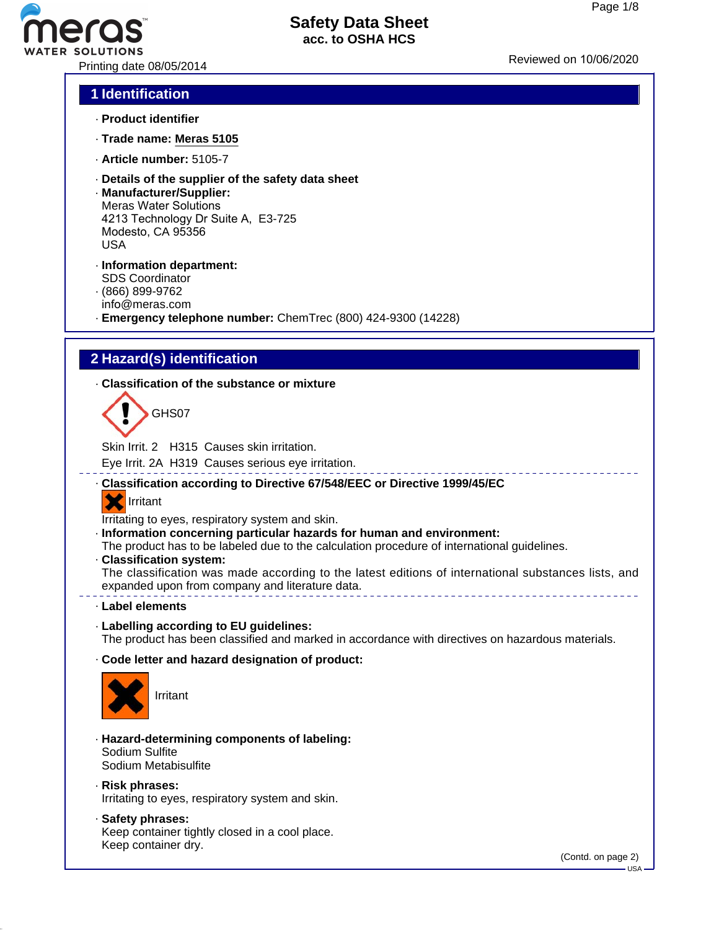

#### **1 Identification**

- · **Product identifier**
- · **Trade name: Meras 5105**
- · **Article number:** 5105-7
- · **Details of the supplier of the safety data sheet**
- · **Manufacturer/Supplier:** Meras Water Solutions 4213 Technology Dr Suite A, E3-725 Modesto, CA 95356 USA
- · **Information department:** SDS Coordinator
- · (866) 899-9762
- info@meras.com
- · **Emergency telephone number:** ChemTrec (800) 424-9300 (14228)

## **2 Hazard(s) identification**

· **Classification of the substance or mixture**

GHS07

Skin Irrit. 2 H315 Causes skin irritation.

Eye Irrit. 2A H319 Causes serious eye irritation.

· **Classification according to Directive 67/548/EEC or Directive 1999/45/EC**

#### **X** Irritant

Irritating to eyes, respiratory system and skin.

· **Information concerning particular hazards for human and environment:**

The product has to be labeled due to the calculation procedure of international guidelines.

· **Classification system:**

The classification was made according to the latest editions of international substances lists, and expanded upon from company and literature data.

· **Label elements**

· **Labelling according to EU guidelines:** The product has been classified and marked in accordance with directives on hazardous materials.

· **Code letter and hazard designation of product:**



Irritant

- · **Hazard-determining components of labeling:** Sodium Sulfite Sodium Metabisulfite
- · **Risk phrases:**

Irritating to eyes, respiratory system and skin.

· **Safety phrases:** Keep container tightly closed in a cool place. Keep container dry.

(Contd. on page 2)

 $-$  USA -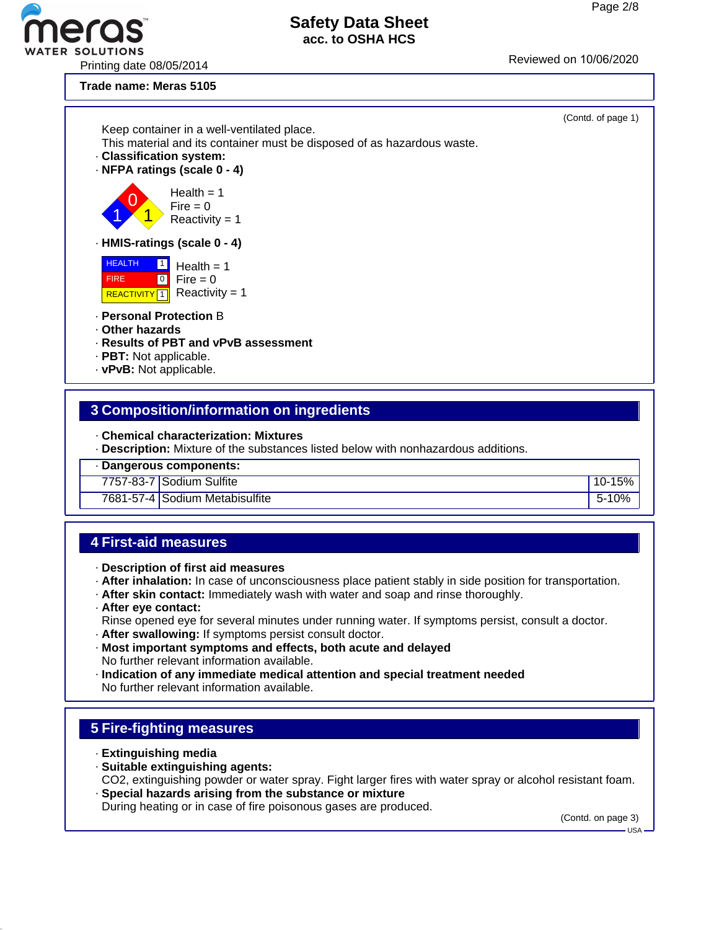# R SOLUTIONS<br>Printing date 08/05/2014 Printing date 08/05/2014

#### **Safety Data Sheet acc. to OSHA HCS**

**Trade name: Meras 5105**



#### **3 Composition/information on ingredients**

- · **Chemical characterization: Mixtures**
- · **Description:** Mixture of the substances listed below with nonhazardous additions.
- · **Dangerous components:**
- 7757-83-7 Sodium Sulfite 10-15%
- 7681-57-4 Sodium Metabisulfite 5-10% of the state  $\vert$  5-10%

#### **4 First-aid measures**

- · **Description of first aid measures**
- · **After inhalation:** In case of unconsciousness place patient stably in side position for transportation.
- · **After skin contact:** Immediately wash with water and soap and rinse thoroughly.
- · **After eye contact:**
- Rinse opened eye for several minutes under running water. If symptoms persist, consult a doctor.
- · **After swallowing:** If symptoms persist consult doctor.
- · **Most important symptoms and effects, both acute and delayed** No further relevant information available.
- · **Indication of any immediate medical attention and special treatment needed** No further relevant information available.

## **5 Fire-fighting measures**

- · **Extinguishing media**
- · **Suitable extinguishing agents:**
- CO2, extinguishing powder or water spray. Fight larger fires with water spray or alcohol resistant foam. · **Special hazards arising from the substance or mixture**
- During heating or in case of fire poisonous gases are produced.

(Contd. on page 3)

USA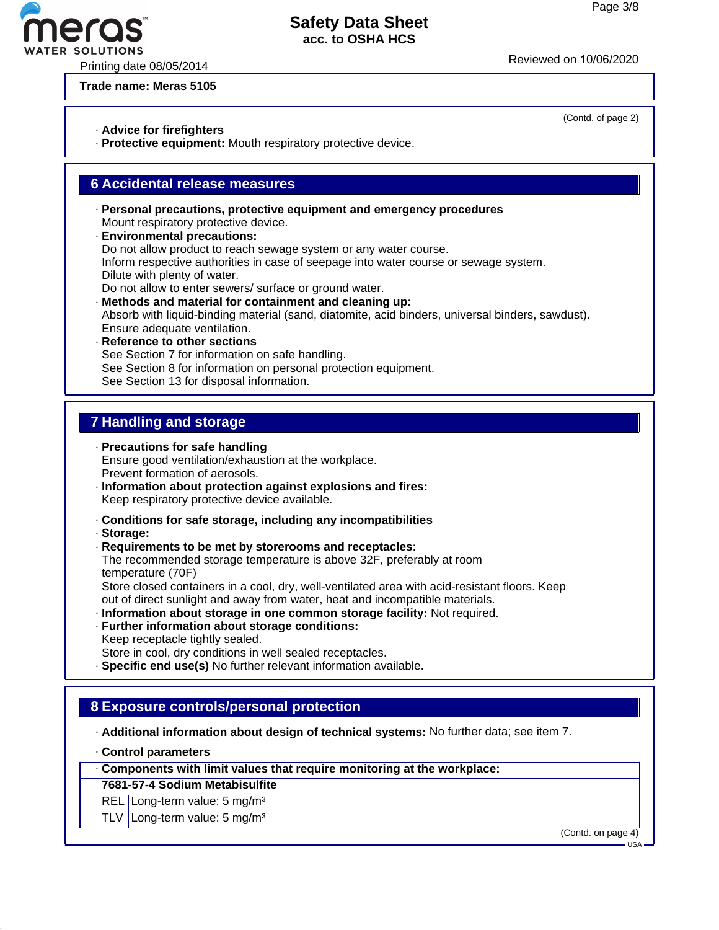Printing date 08/05/2014 **Printing** date 08/05/2020

**Trade name: Meras 5105**

- · **Advice for firefighters**
- · **Protective equipment:** Mouth respiratory protective device.

#### **6 Accidental release measures**

- · **Personal precautions, protective equipment and emergency procedures** Mount respiratory protective device.
- · **Environmental precautions:** Do not allow product to reach sewage system or any water course. Inform respective authorities in case of seepage into water course or sewage system. Dilute with plenty of water. Do not allow to enter sewers/ surface or ground water.
- · **Methods and material for containment and cleaning up:** Absorb with liquid-binding material (sand, diatomite, acid binders, universal binders, sawdust). Ensure adequate ventilation.
- · **Reference to other sections** See Section 7 for information on safe handling. See Section 8 for information on personal protection equipment. See Section 13 for disposal information.

## **7 Handling and storage**

- · **Precautions for safe handling** Ensure good ventilation/exhaustion at the workplace. Prevent formation of aerosols.
- · **Information about protection against explosions and fires:** Keep respiratory protective device available.
- · **Conditions for safe storage, including any incompatibilities**
- · **Storage:**
- · **Requirements to be met by storerooms and receptacles:** The recommended storage temperature is above 32F, preferably at room temperature (70F) Store closed containers in a cool, dry, well-ventilated area with acid-resistant floors. Keep out of direct sunlight and away from water, heat and incompatible materials.
- · **Information about storage in one common storage facility:** Not required.
- · **Further information about storage conditions:** Keep receptacle tightly sealed. Store in cool, dry conditions in well sealed receptacles. · **Specific end use(s)** No further relevant information available.

# **8 Exposure controls/personal protection**

- · **Additional information about design of technical systems:** No further data; see item 7.
- · **Control parameters**

· **Components with limit values that require monitoring at the workplace:**

- **7681-57-4 Sodium Metabisulfite**
- REL Long-term value: 5 mg/m<sup>3</sup>
- TLV Long-term value:  $5 \text{ mg/m}^3$

(Contd. on page 4)



(Contd. of page 2)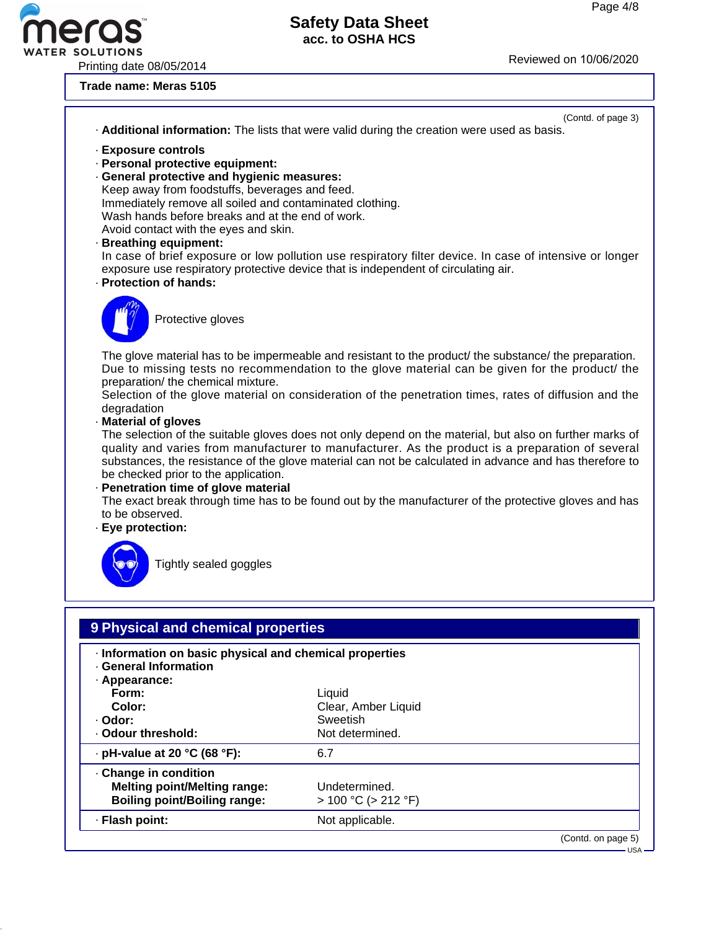(Contd. of page 3)

# **Safety Data Sheet acc. to OSHA HCS**

Printing date 08/05/2014 Reviewed on 10/06/20<sup>20</sup>

**Pro** 

**Trade name: Meras 5105**

|                                                                                                                                                                                                                                                                                                                                                                       | . Additional information: The lists that were valid during the creation were used as basis.                                                                                                                                                                                                                                                                                                                                                                                                                                                                                                                                                                                                                                                       |
|-----------------------------------------------------------------------------------------------------------------------------------------------------------------------------------------------------------------------------------------------------------------------------------------------------------------------------------------------------------------------|---------------------------------------------------------------------------------------------------------------------------------------------------------------------------------------------------------------------------------------------------------------------------------------------------------------------------------------------------------------------------------------------------------------------------------------------------------------------------------------------------------------------------------------------------------------------------------------------------------------------------------------------------------------------------------------------------------------------------------------------------|
| · Exposure controls<br>· Personal protective equipment:<br>· General protective and hygienic measures:<br>Keep away from foodstuffs, beverages and feed.<br>Immediately remove all soiled and contaminated clothing.<br>Wash hands before breaks and at the end of work.<br>Avoid contact with the eyes and skin.<br>· Breathing equipment:<br>· Protection of hands: | In case of brief exposure or low pollution use respiratory filter device. In case of intensive or longer<br>exposure use respiratory protective device that is independent of circulating air.                                                                                                                                                                                                                                                                                                                                                                                                                                                                                                                                                    |
| Protective gloves                                                                                                                                                                                                                                                                                                                                                     |                                                                                                                                                                                                                                                                                                                                                                                                                                                                                                                                                                                                                                                                                                                                                   |
| preparation/ the chemical mixture.<br>degradation<br>Material of gloves<br>be checked prior to the application.<br>· Penetration time of glove material<br>to be observed.<br>· Eye protection:<br>Tightly sealed goggles                                                                                                                                             | The glove material has to be impermeable and resistant to the product the substance the preparation.<br>Due to missing tests no recommendation to the glove material can be given for the product/ the<br>Selection of the glove material on consideration of the penetration times, rates of diffusion and the<br>The selection of the suitable gloves does not only depend on the material, but also on further marks of<br>quality and varies from manufacturer to manufacturer. As the product is a preparation of several<br>substances, the resistance of the glove material can not be calculated in advance and has therefore to<br>The exact break through time has to be found out by the manufacturer of the protective gloves and has |
|                                                                                                                                                                                                                                                                                                                                                                       |                                                                                                                                                                                                                                                                                                                                                                                                                                                                                                                                                                                                                                                                                                                                                   |
| 9 Physical and chemical properties                                                                                                                                                                                                                                                                                                                                    |                                                                                                                                                                                                                                                                                                                                                                                                                                                                                                                                                                                                                                                                                                                                                   |
| · Information on basic physical and chemical properties<br>· General Information<br>· Appearance:                                                                                                                                                                                                                                                                     |                                                                                                                                                                                                                                                                                                                                                                                                                                                                                                                                                                                                                                                                                                                                                   |
| Form:<br>Color:                                                                                                                                                                                                                                                                                                                                                       | Liquid<br>Clear, Amber Liquid                                                                                                                                                                                                                                                                                                                                                                                                                                                                                                                                                                                                                                                                                                                     |
| · Odor:                                                                                                                                                                                                                                                                                                                                                               | Sweetish                                                                                                                                                                                                                                                                                                                                                                                                                                                                                                                                                                                                                                                                                                                                          |
| · Odour threshold:                                                                                                                                                                                                                                                                                                                                                    | Not determined.                                                                                                                                                                                                                                                                                                                                                                                                                                                                                                                                                                                                                                                                                                                                   |
| $\cdot$ pH-value at 20 °C (68 °F):                                                                                                                                                                                                                                                                                                                                    | 6.7                                                                                                                                                                                                                                                                                                                                                                                                                                                                                                                                                                                                                                                                                                                                               |
| Change in condition<br><b>Melting point/Melting range:</b><br><b>Boiling point/Boiling range:</b>                                                                                                                                                                                                                                                                     | Undetermined.<br>$> 100 °C$ ( $> 212 °F$ )                                                                                                                                                                                                                                                                                                                                                                                                                                                                                                                                                                                                                                                                                                        |
| · Flash point:                                                                                                                                                                                                                                                                                                                                                        | Not applicable.                                                                                                                                                                                                                                                                                                                                                                                                                                                                                                                                                                                                                                                                                                                                   |

 $-$  USA

(Contd. on page 5)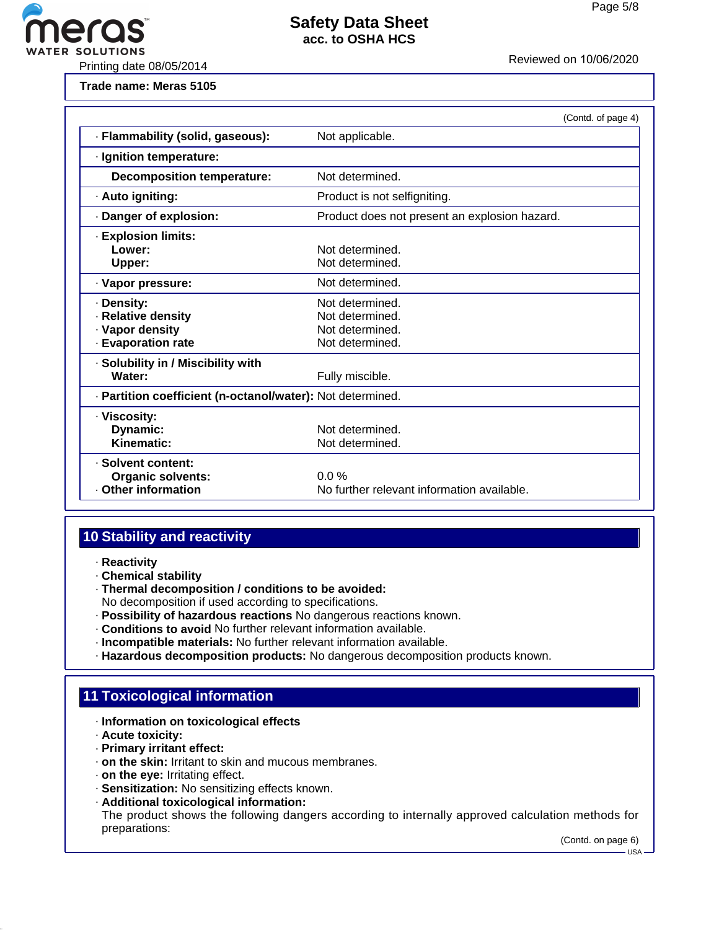

ER SOLUTIONS<br>Printing date 08/05/2014 Printing date 08/05/2014

**Trade name: Meras 5105**

|                                                                         | (Contd. of page 4)                                                       |  |  |
|-------------------------------------------------------------------------|--------------------------------------------------------------------------|--|--|
| · Flammability (solid, gaseous):                                        | Not applicable.                                                          |  |  |
| · Ignition temperature:                                                 |                                                                          |  |  |
| <b>Decomposition temperature:</b>                                       | Not determined.                                                          |  |  |
| · Auto igniting:                                                        | Product is not selfigniting.                                             |  |  |
| · Danger of explosion:                                                  | Product does not present an explosion hazard.                            |  |  |
| <b>· Explosion limits:</b><br>Lower:<br>Upper:                          | Not determined.<br>Not determined.                                       |  |  |
| · Vapor pressure:                                                       | Not determined.                                                          |  |  |
| Density:<br>· Relative density<br>· Vapor density<br>· Evaporation rate | Not determined.<br>Not determined.<br>Not determined.<br>Not determined. |  |  |
| · Solubility in / Miscibility with<br>Water:                            | Fully miscible.                                                          |  |  |
|                                                                         | - Partition coefficient (n-octanol/water): Not determined.               |  |  |
| · Viscosity:<br>Dynamic:<br>Kinematic:                                  | Not determined.<br>Not determined.                                       |  |  |
| · Solvent content:<br><b>Organic solvents:</b><br>· Other information   | $0.0\%$<br>No further relevant information available.                    |  |  |

# **10 Stability and reactivity**

- · **Reactivity**
- · **Chemical stability**
- · **Thermal decomposition / conditions to be avoided:**

No decomposition if used according to specifications.

- · **Possibility of hazardous reactions** No dangerous reactions known.
- · **Conditions to avoid** No further relevant information available.
- · **Incompatible materials:** No further relevant information available.
- · **Hazardous decomposition products:** No dangerous decomposition products known.

# **11 Toxicological information**

- · **Information on toxicological effects**
- · **Acute toxicity:**
- · **Primary irritant effect:**
- · **on the skin:** Irritant to skin and mucous membranes.
- · **on the eye:** Irritating effect.
- · **Sensitization:** No sensitizing effects known.
- · **Additional toxicological information:**

The product shows the following dangers according to internally approved calculation methods for preparations:

(Contd. on page 6)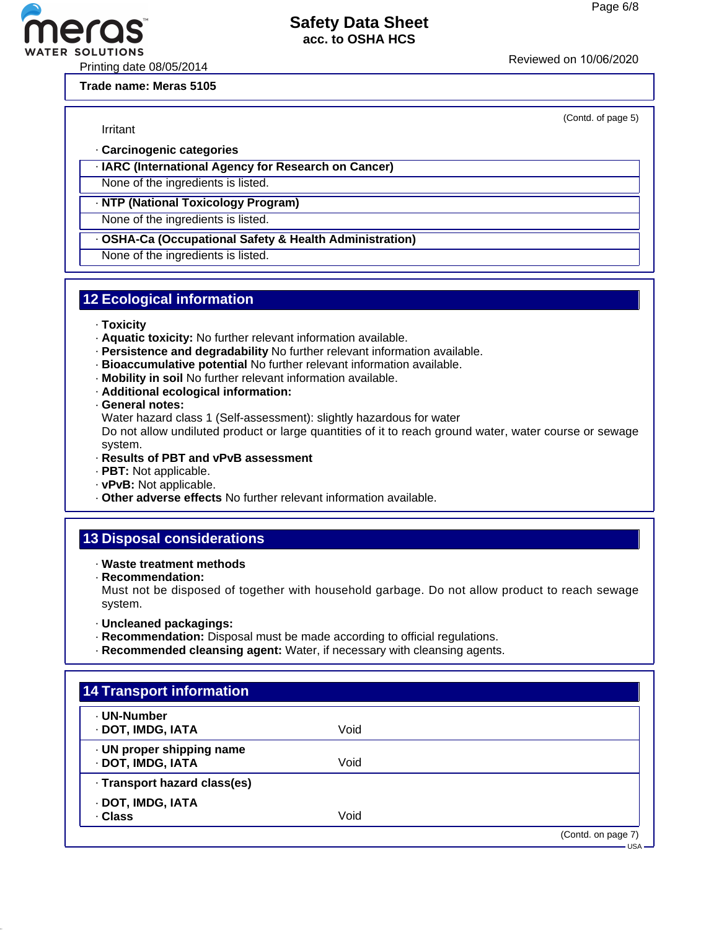(Contd. of page 5)

#### **Safety Data Sheet acc. to OSHA HCS**

Printing date 08/05/2014<br>Printing date 08/05/2014

**Trade name: Meras 5105**

Irritant

- · **Carcinogenic categories**
- · **IARC (International Agency for Research on Cancer)**

None of the ingredients is listed.

#### · **NTP (National Toxicology Program)**

None of the ingredients is listed.

· **OSHA-Ca (Occupational Safety & Health Administration)**

None of the ingredients is listed.

# **12 Ecological information**

- · **Toxicity**
- · **Aquatic toxicity:** No further relevant information available.
- · **Persistence and degradability** No further relevant information available.
- · **Bioaccumulative potential** No further relevant information available.
- · **Mobility in soil** No further relevant information available.
- · **Additional ecological information:**

· **General notes:**

Water hazard class 1 (Self-assessment): slightly hazardous for water

Do not allow undiluted product or large quantities of it to reach ground water, water course or sewage system.

- · **Results of PBT and vPvB assessment**
- · **PBT:** Not applicable.
- · **vPvB:** Not applicable.
- · **Other adverse effects** No further relevant information available.

# **13 Disposal considerations**

- · **Waste treatment methods**
- · **Recommendation:**

Must not be disposed of together with household garbage. Do not allow product to reach sewage system.

- · **Uncleaned packagings:**
- · **Recommendation:** Disposal must be made according to official regulations.
- · **Recommended cleansing agent:** Water, if necessary with cleansing agents.

| <b>14 Transport information</b>                |      |                               |
|------------------------------------------------|------|-------------------------------|
| · UN-Number<br>· DOT, IMDG, IATA               | Void |                               |
| · UN proper shipping name<br>· DOT, IMDG, IATA | Void |                               |
| · Transport hazard class(es)                   |      |                               |
| · DOT, IMDG, IATA<br>. Class                   | Void |                               |
|                                                |      | (Contd. on page 7)<br>– USA — |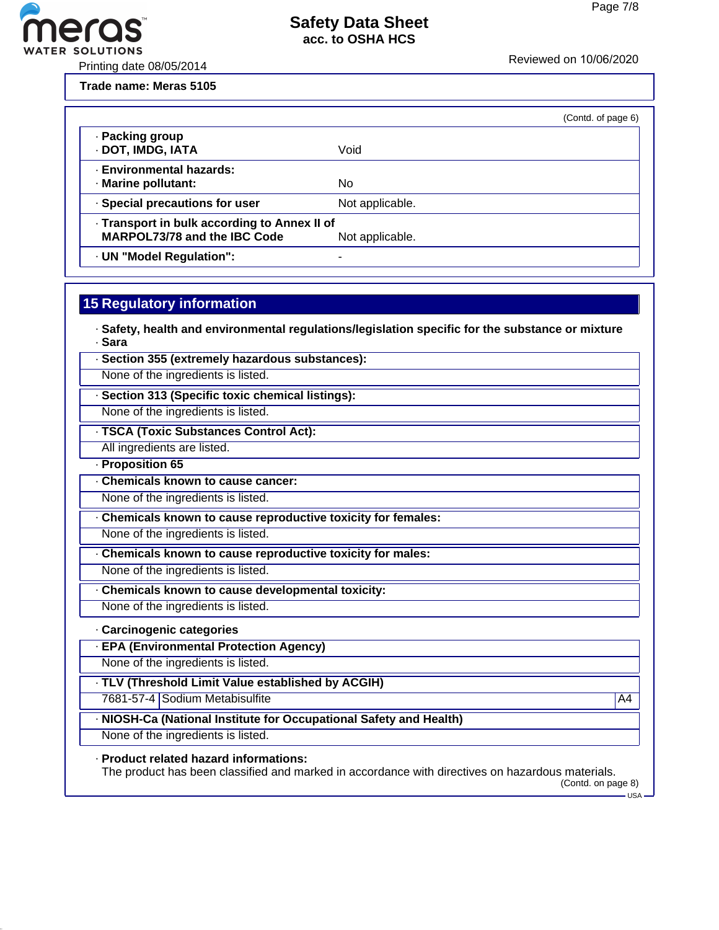

Printing date 08/05/2014 Reviewed on 10/06/20<sup>20</sup>

eros

**Trade name: Meras 5105**

|                                                                                                        |                 | (Contd. of page 6) |
|--------------------------------------------------------------------------------------------------------|-----------------|--------------------|
| · Packing group<br>· DOT, IMDG, IATA                                                                   | Void            |                    |
| <b>Environmental hazards:</b><br>· Marine pollutant:                                                   | No              |                    |
| · Special precautions for user                                                                         | Not applicable. |                    |
| - Transport in bulk according to Annex II of<br><b>MARPOL73/78 and the IBC Code</b><br>Not applicable. |                 |                    |
| · UN "Model Regulation":                                                                               | ۰               |                    |

#### **15 Regulatory information**

· **Safety, health and environmental regulations/legislation specific for the substance or mixture** · **Sara**

· **Section 355 (extremely hazardous substances):**

None of the ingredients is listed.

· **Section 313 (Specific toxic chemical listings):**

None of the ingredients is listed.

· **TSCA (Toxic Substances Control Act):**

All ingredients are listed.

· **Proposition 65**

· **Chemicals known to cause cancer:**

None of the ingredients is listed.

· **Chemicals known to cause reproductive toxicity for females:**

None of the ingredients is listed.

· **Chemicals known to cause reproductive toxicity for males:**

None of the ingredients is listed.

· **Chemicals known to cause developmental toxicity:**

None of the ingredients is listed.

#### · **Carcinogenic categories**

· **EPA (Environmental Protection Agency)**

None of the ingredients is listed.

· **TLV (Threshold Limit Value established by ACGIH)**

7681-57-4 Sodium Metabisulfite A4

#### · **NIOSH-Ca (National Institute for Occupational Safety and Health)**

None of the ingredients is listed.

· **Product related hazard informations:**

The product has been classified and marked in accordance with directives on hazardous materials. (Contd. on page 8)

 $-$ USA -